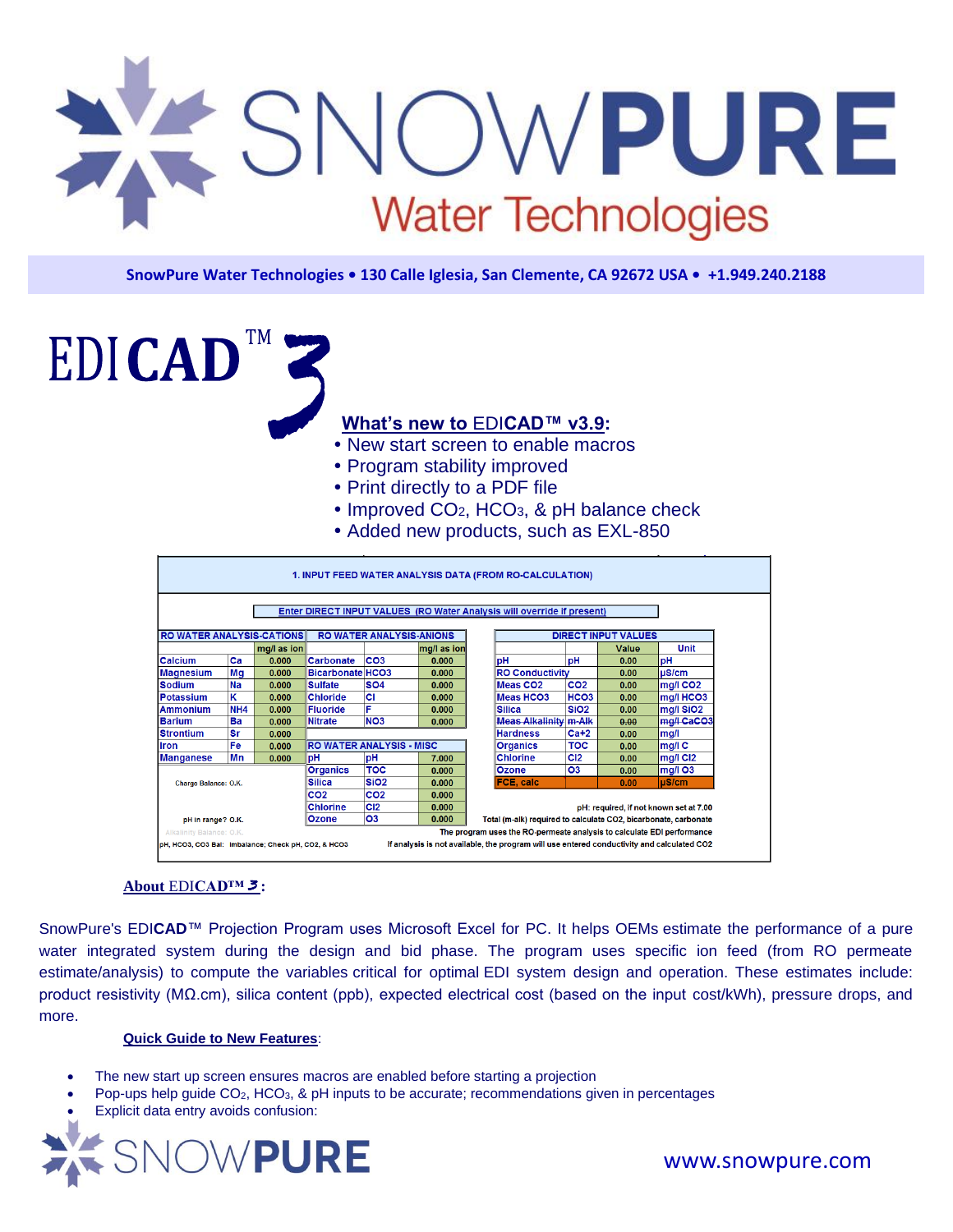

**SnowPure Water Technologies • 130 Calle Iglesia, San Clemente, CA 92672 USA • +1.949.240.2188**

**What's new to** EDI**CAD™ v3.9:**

- New start screen to enable macros
- Program stability improved
- Print directly to a PDF file
- $\bullet$  Improved CO<sub>2</sub>, HCO<sub>3</sub>, & pH balance check
- Added new products, such as EXL-850

|                                                                             |                 |             |                                 |                                 |                                                                 | 1. INPUT FEED WATER ANALYSIS DATA (FROM RO-CALCULATION)                                    |                  |                            |                      |
|-----------------------------------------------------------------------------|-----------------|-------------|---------------------------------|---------------------------------|-----------------------------------------------------------------|--------------------------------------------------------------------------------------------|------------------|----------------------------|----------------------|
|                                                                             |                 |             |                                 |                                 |                                                                 | Enter DIRECT INPUT VALUES (RO Water Analysis will override if present)                     |                  |                            |                      |
| <b>RO WATER ANALYSIS-CATIONS</b>                                            |                 |             |                                 | <b>RO WATER ANALYSIS-ANIONS</b> |                                                                 |                                                                                            |                  | <b>DIRECT INPUT VALUES</b> |                      |
|                                                                             |                 | mq/l as ion |                                 |                                 | mg/l as ion                                                     |                                                                                            |                  | Value                      | Unit                 |
| Calcium                                                                     | Ca              | 0.000       | Carbonate                       | CO <sub>3</sub>                 | 0.000                                                           | pH                                                                                         | рH               | 0.00                       | pН                   |
| <b>Magnesium</b>                                                            | Mg              | 0.000       | Bicarbonate HCO3                |                                 | 0.000                                                           | <b>RO Conductivity</b>                                                                     |                  | 0.00                       | uS/cm                |
| <b>Sodium</b>                                                               | Na              | 0.000       | <b>Sulfate</b>                  | <b>SO4</b>                      | 0.000                                                           | Meas CO <sub>2</sub>                                                                       | CO <sub>2</sub>  | 0.00                       | $mq/l$ CO2           |
| <b>Potassium</b>                                                            | Κ               | 0.000       | <b>Chloride</b>                 | CI                              | 0.000                                                           | <b>Meas HCO3</b>                                                                           | HCO <sub>3</sub> | 0.00                       | mg/I HCO3            |
| <b>Ammonium</b>                                                             | NH <sub>4</sub> | 0.000       | <b>Fluoride</b>                 | F                               | 0.000                                                           | <b>Silica</b>                                                                              | SiO <sub>2</sub> | 0.00                       | mg/l SiO2            |
| <b>Barium</b>                                                               | Ba              | 0.000       | <b>Nitrate</b>                  | NO <sub>3</sub>                 | 0.000                                                           | <b>Meas Alkalinity m-Alk</b>                                                               |                  | 0.00                       | mg/l CaCO3           |
| <b>Strontium</b>                                                            | Sr              | 0.000       |                                 |                                 |                                                                 | <b>Hardness</b>                                                                            | $Ca+2$           | 0.00                       | mq/l                 |
| <b>Iron</b>                                                                 | Fe              | 0.000       | <b>RO WATER ANALYSIS - MISC</b> |                                 |                                                                 | <b>Organics</b>                                                                            | TOC              | 0.00                       | mg/lC                |
| <b>Manganese</b>                                                            | Mn              | 0.000       | pH                              | pH                              | 7.000                                                           | <b>Chlorine</b>                                                                            | C <sub>12</sub>  | 0.00                       | mg/l Cl <sub>2</sub> |
| тос<br><b>Organics</b>                                                      |                 |             |                                 | 0.000                           | <b>Ozone</b>                                                    | <b>O3</b>                                                                                  | 0.00             | $mg/l$ O3                  |                      |
| <b>Silica</b><br>Charge Balance: O.K.<br>CO <sub>2</sub><br><b>Chlorine</b> |                 |             |                                 | SiO <sub>2</sub>                | 0.000                                                           | <b>FCE, calc</b>                                                                           |                  | 0.00                       | $\mu$ S/cm           |
|                                                                             |                 |             |                                 | CO <sub>2</sub>                 | 0.000                                                           |                                                                                            |                  |                            |                      |
|                                                                             |                 |             |                                 | C <sub>12</sub>                 | 0.000                                                           | pH: required, if not known set at 7.00                                                     |                  |                            |                      |
| <b>Ozone</b><br>pH in range? O.K.                                           |                 |             | <b>O3</b>                       | 0.000                           | Total (m-alk) required to calculate CO2, bicarbonate, carbonate |                                                                                            |                  |                            |                      |
| Alkalinity Balance: O.K.                                                    |                 |             |                                 |                                 |                                                                 | The program uses the RO-permeate analysis to calculate EDI performance                     |                  |                            |                      |
| pH, HCO3, CO3 Bal: Imbalance; Check pH, CO2, & HCO3                         |                 |             |                                 |                                 |                                                                 | If analysis is not available, the program will use entered conductivity and calculated CO2 |                  |                            |                      |

# **About** EDI**CAD™** *3* **:**

EDICAD

SnowPure's EDI**CAD**™ Projection Program uses Microsoft Excel for PC. It helps OEMs estimate the performance of a pure water integrated system during the design and bid phase. The program uses specific ion feed (from RO permeate estimate/analysis) to compute the variables critical for optimal EDI system design and operation. These estimates include: product resistivity (MΩ.cm), silica content (ppb), expected electrical cost (based on the input cost/kWh), pressure drops, and more.

### **Quick Guide to New Features**:

- The new start up screen ensures macros are enabled before starting a projection
- Pop-ups help guide CO2, HCO3, & pH inputs to be accurate; recommendations given in percentages
- Explicit data entry avoids confusion: